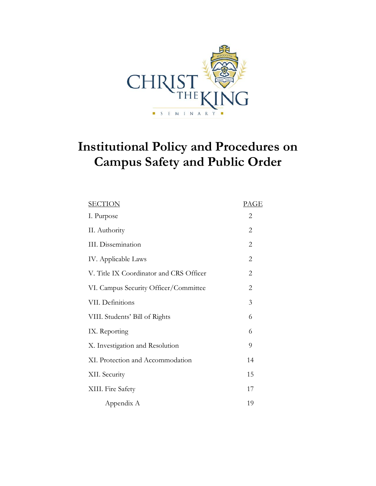

# **Institutional Policy and Procedures on Campus Safety and Public Order**

| <u>SECTION</u>                          | PAGE           |
|-----------------------------------------|----------------|
| I. Purpose                              | 2              |
| II. Authority                           | $\overline{2}$ |
| <b>III.</b> Dissemination               | $\overline{2}$ |
| IV. Applicable Laws                     | $\overline{2}$ |
| V. Title IX Coordinator and CRS Officer | $\overline{c}$ |
| VI. Campus Security Officer/Committee   | $\overline{2}$ |
| VII. Definitions                        | 3              |
| VIII. Students' Bill of Rights          | 6              |
| IX. Reporting                           | 6              |
| X. Investigation and Resolution         | 9              |
| XI. Protection and Accommodation        | 14             |
| XII. Security                           | 15             |
| XIII. Fire Safety                       | 17             |
| Appendix A                              | 19             |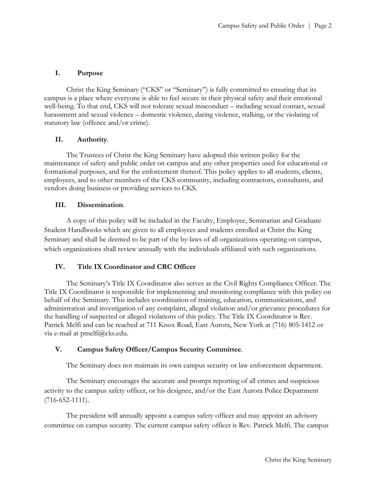# **I. Purpose**

Christ the King Seminary ("CKS" or "Seminary") is fully committed to ensuring that its campus is a place where everyone is able to feel secure in their physical safety and their emotional well-being. To that end, CKS will not tolerate sexual misconduct – including sexual contact, sexual harassment and sexual violence – domestic violence, dating violence, stalking, or the violating of statutory law (offence and/or crime).

# **II. Authority**.

The Trustees of Christ the King Seminary have adopted this written policy for the maintenance of safety and public order on campus and any other properties used for educational or formational purposes, and for the enforcement thereof. This policy applies to all students, clients, employees, and to other members of the CKS community, including contractors, consultants, and vendors doing business or providing services to CKS.

# **III. Dissemination**.

A copy of this policy will be included in the Faculty, Employee, Seminarian and Graduate Student Handbooks which are given to all employees and students enrolled at Christ the King Seminary and shall be deemed to be part of the by-laws of all organizations operating on campus, which organizations shall review annually with the individuals affiliated with such organizations.

# **IV. Title IX Coordinator and CRC Officer**

The Seminary's Title IX Coordinator also serves as the Civil Rights Compliance Officer. The Title IX Coordinator is responsible for implementing and monitoring compliance with this policy on behalf of the Seminary. This includes coordination of training, education, communications, and administration and investigation of any complaint, alleged violation and/or grievance procedures for the handling of suspected or alleged violations of this policy. The Title IX Coordinator is Rev. Patrick Melfi and can be reached at 711 Knox Road, East Aurora, New York at (716) 805-1412 or via e-mail at pmelfi@cks.edu.

# **V. Campus Safety Officer/Campus Security Committee**.

The Seminary does not maintain its own campus security or law enforcement department.

The Seminary encourages the accurate and prompt reporting of all crimes and suspicious activity to the campus safety officer, or his designee, and/or the East Aurora Police Department (716-652-1111).

The president will annually appoint a campus safety officer and may appoint an advisory committee on campus security. The current campus safety officer is Rev. Patrick Melfi. The campus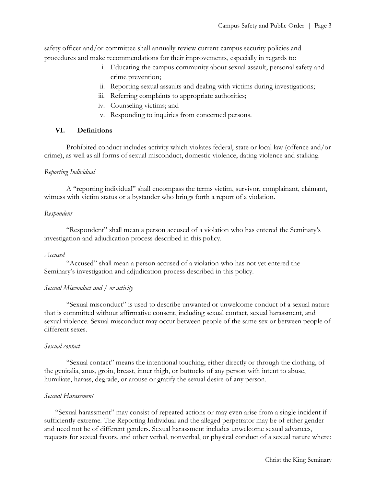safety officer and/or committee shall annually review current campus security policies and procedures and make recommendations for their improvements, especially in regards to:

- i. Educating the campus community about sexual assault, personal safety and crime prevention;
- ii. Reporting sexual assaults and dealing with victims during investigations;
- iii. Referring complaints to appropriate authorities;
- iv. Counseling victims; and
- v. Responding to inquiries from concerned persons.

# **VI. Definitions**

Prohibited conduct includes activity which violates federal, state or local law (offence and/or crime), as well as all forms of sexual misconduct, domestic violence, dating violence and stalking.

# *Reporting Individual*

A "reporting individual" shall encompass the terms victim, survivor, complainant, claimant, witness with victim status or a bystander who brings forth a report of a violation.

## *Respondent*

"Respondent" shall mean a person accused of a violation who has entered the Seminary's investigation and adjudication process described in this policy.

## *Accused*

"Accused" shall mean a person accused of a violation who has not yet entered the Seminary's investigation and adjudication process described in this policy.

## *Sexual Misconduct and / or activity*

"Sexual misconduct" is used to describe unwanted or unwelcome conduct of a sexual nature that is committed without affirmative consent, including sexual contact, sexual harassment, and sexual violence. Sexual misconduct may occur between people of the same sex or between people of different sexes.

## *Sexual contact*

"Sexual contact" means the intentional touching, either directly or through the clothing, of the genitalia, anus, groin, breast, inner thigh, or buttocks of any person with intent to abuse, humiliate, harass, degrade, or arouse or gratify the sexual desire of any person.

## *Sexual Harassment*

"Sexual harassment" may consist of repeated actions or may even arise from a single incident if sufficiently extreme. The Reporting Individual and the alleged perpetrator may be of either gender and need not be of different genders. Sexual harassment includes unwelcome sexual advances, requests for sexual favors, and other verbal, nonverbal, or physical conduct of a sexual nature where: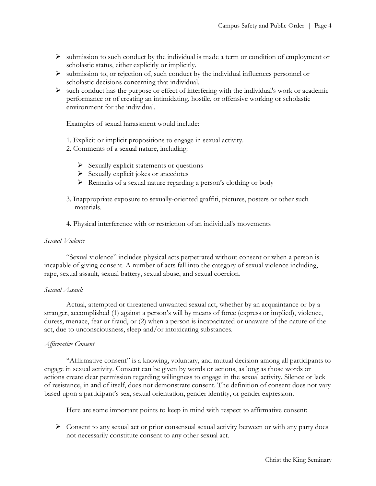- $\triangleright$  submission to such conduct by the individual is made a term or condition of employment or scholastic status, either explicitly or implicitly.
- $\triangleright$  submission to, or rejection of, such conduct by the individual influences personnel or scholastic decisions concerning that individual.
- $\triangleright$  such conduct has the purpose or effect of interfering with the individual's work or academic performance or of creating an intimidating, hostile, or offensive working or scholastic environment for the individual.

Examples of sexual harassment would include:

- 1. Explicit or implicit propositions to engage in sexual activity.
- 2. Comments of a sexual nature, including:
	- $\triangleright$  Sexually explicit statements or questions
	- $\triangleright$  Sexually explicit jokes or anecdotes
	- Remarks of a sexual nature regarding a person's clothing or body
- 3. Inappropriate exposure to sexually-oriented graffiti, pictures, posters or other such materials.
- 4. Physical interference with or restriction of an individual's movements

## *Sexual Violence*

"Sexual violence" includes physical acts perpetrated without consent or when a person is incapable of giving consent. A number of acts fall into the category of sexual violence including, rape, sexual assault, sexual battery, sexual abuse, and sexual coercion.

#### *Sexual Assault*

Actual, attempted or threatened unwanted sexual act, whether by an acquaintance or by a stranger, accomplished (1) against a person's will by means of force (express or implied), violence, duress, menace, fear or fraud, or (2) when a person is incapacitated or unaware of the nature of the act, due to unconsciousness, sleep and/or intoxicating substances.

## *Affirmative Consent*

"Affirmative consent" is a knowing, voluntary, and mutual decision among all participants to engage in sexual activity. Consent can be given by words or actions, as long as those words or actions create clear permission regarding willingness to engage in the sexual activity. Silence or lack of resistance, in and of itself, does not demonstrate consent. The definition of consent does not vary based upon a participant's sex, sexual orientation, gender identity, or gender expression.

Here are some important points to keep in mind with respect to affirmative consent:

 $\triangleright$  Consent to any sexual act or prior consensual sexual activity between or with any party does not necessarily constitute consent to any other sexual act.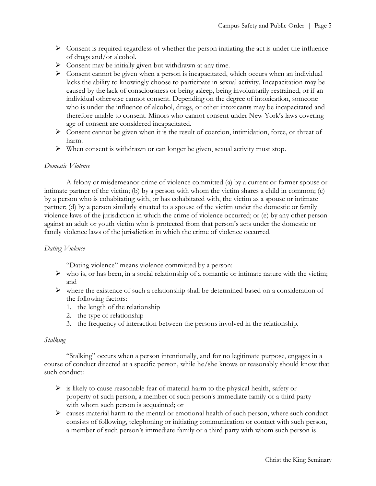- $\triangleright$  Consent is required regardless of whether the person initiating the act is under the influence of drugs and/or alcohol.
- $\triangleright$  Consent may be initially given but withdrawn at any time.
- $\triangleright$  Consent cannot be given when a person is incapacitated, which occurs when an individual lacks the ability to knowingly choose to participate in sexual activity. Incapacitation may be caused by the lack of consciousness or being asleep, being involuntarily restrained, or if an individual otherwise cannot consent. Depending on the degree of intoxication, someone who is under the influence of alcohol, drugs, or other intoxicants may be incapacitated and therefore unable to consent. Minors who cannot consent under New York's laws covering age of consent are considered incapacitated.
- $\triangleright$  Consent cannot be given when it is the result of coercion, intimidation, force, or threat of harm.
- $\triangleright$  When consent is withdrawn or can longer be given, sexual activity must stop.

## *Domestic Violence*

A felony or misdemeanor crime of violence committed (a) by a current or former spouse or intimate partner of the victim; (b) by a person with whom the victim shares a child in common; (c) by a person who is cohabitating with, or has cohabitated with, the victim as a spouse or intimate partner; (d) by a person similarly situated to a spouse of the victim under the domestic or family violence laws of the jurisdiction in which the crime of violence occurred; or (e) by any other person against an adult or youth victim who is protected from that person's acts under the domestic or family violence laws of the jurisdiction in which the crime of violence occurred.

## *Dating Violence*

"Dating violence" means violence committed by a person:

- $\triangleright$  who is, or has been, in a social relationship of a romantic or intimate nature with the victim; and
- $\triangleright$  where the existence of such a relationship shall be determined based on a consideration of the following factors:
	- 1. the length of the relationship
	- 2. the type of relationship
	- 3. the frequency of interaction between the persons involved in the relationship.

#### *Stalking*

"Stalking" occurs when a person intentionally, and for no legitimate purpose, engages in a course of conduct directed at a specific person, while he/she knows or reasonably should know that such conduct:

- $\triangleright$  is likely to cause reasonable fear of material harm to the physical health, safety or property of such person, a member of such person's immediate family or a third party with whom such person is acquainted; or
- $\triangleright$  causes material harm to the mental or emotional health of such person, where such conduct consists of following, telephoning or initiating communication or contact with such person, a member of such person's immediate family or a third party with whom such person is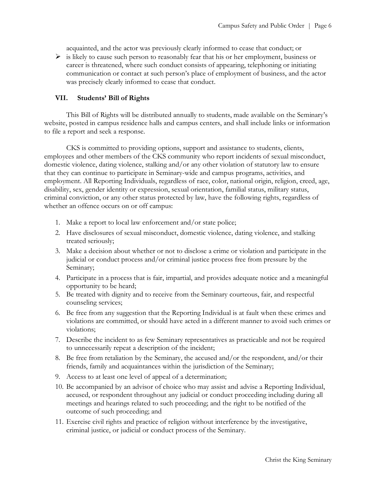acquainted, and the actor was previously clearly informed to cease that conduct; or

 $\triangleright$  is likely to cause such person to reasonably fear that his or her employment, business or career is threatened, where such conduct consists of appearing, telephoning or initiating communication or contact at such person's place of employment of business, and the actor was precisely clearly informed to cease that conduct.

# **VII. Students' Bill of Rights**

This Bill of Rights will be distributed annually to students, made available on the Seminary's website, posted in campus residence halls and campus centers, and shall include links or information to file a report and seek a response.

CKS is committed to providing options, support and assistance to students, clients, employees and other members of the CKS community who report incidents of sexual misconduct, domestic violence, dating violence, stalking and/or any other violation of statutory law to ensure that they can continue to participate in Seminary-wide and campus programs, activities, and employment. All Reporting Individuals, regardless of race, color, national origin, religion, creed, age, disability, sex, gender identity or expression, sexual orientation, familial status, military status, criminal conviction, or any other status protected by law, have the following rights, regardless of whether an offence occurs on or off campus:

- 1. Make a report to local law enforcement and/or state police;
- 2. Have disclosures of sexual misconduct, domestic violence, dating violence, and stalking treated seriously;
- 3. Make a decision about whether or not to disclose a crime or violation and participate in the judicial or conduct process and/or criminal justice process free from pressure by the Seminary;
- 4. Participate in a process that is fair, impartial, and provides adequate notice and a meaningful opportunity to be heard;
- 5. Be treated with dignity and to receive from the Seminary courteous, fair, and respectful counseling services;
- 6. Be free from any suggestion that the Reporting Individual is at fault when these crimes and violations are committed, or should have acted in a different manner to avoid such crimes or violations;
- 7. Describe the incident to as few Seminary representatives as practicable and not be required to unnecessarily repeat a description of the incident;
- 8. Be free from retaliation by the Seminary, the accused and/or the respondent, and/or their friends, family and acquaintances within the jurisdiction of the Seminary;
- 9. Access to at least one level of appeal of a determination;
- 10. Be accompanied by an advisor of choice who may assist and advise a Reporting Individual, accused, or respondent throughout any judicial or conduct proceeding including during all meetings and hearings related to such proceeding; and the right to be notified of the outcome of such proceeding; and
- 11. Exercise civil rights and practice of religion without interference by the investigative, criminal justice, or judicial or conduct process of the Seminary.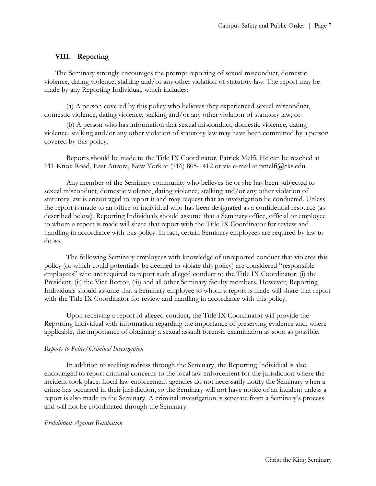## **VIII. Reporting**

The Seminary strongly encourages the prompt reporting of sexual misconduct, domestic violence, dating violence, stalking and/or any other violation of statutory law. The report may be made by any Reporting Individual, which includes:

(a) A person covered by this policy who believes they experienced sexual misconduct, domestic violence, dating violence, stalking and/or any other violation of statutory law; or

(b) A person who has information that sexual misconduct, domestic violence, dating violence, stalking and/or any other violation of statutory law may have been committed by a person covered by this policy.

Reports should be made to the Title IX Coordinator, Patrick Melfi. He can be reached at 711 Knox Road, East Aurora, New York at (716) 805-1412 or via e-mail at pmelfi@cks.edu.

Any member of the Seminary community who believes he or she has been subjected to sexual misconduct, domestic violence, dating violence, stalking and/or any other violation of statutory law is encouraged to report it and may request that an investigation be conducted. Unless the report is made to an office or individual who has been designated as a confidential resource (as described below), Reporting Individuals should assume that a Seminary office, official or employee to whom a report is made will share that report with the Title IX Coordinator for review and handling in accordance with this policy. In fact, certain Seminary employees are required by law to do so.

The following Seminary employees with knowledge of unreported conduct that violates this policy (or which could potentially be deemed to violate this policy) are considered "responsible employees" who are required to report such alleged conduct to the Title IX Coordinator: (i) the President, (ii) the Vice Rector, (iii) and all other Seminary faculty members. However, Reporting Individuals should assume that a Seminary employee to whom a report is made will share that report with the Title IX Coordinator for review and handling in accordance with this policy.

Upon receiving a report of alleged conduct, the Title IX Coordinator will provide the Reporting Individual with information regarding the importance of preserving evidence and, where applicable, the importance of obtaining a sexual assault forensic examination as soon as possible.

#### *Reports to Police/Criminal Investigation*

In addition to seeking redress through the Seminary, the Reporting Individual is also encouraged to report criminal concerns to the local law enforcement for the jurisdiction where the incident took place. Local law enforcement agencies do not necessarily notify the Seminary when a crime has occurred in their jurisdiction, so the Seminary will not have notice of an incident unless a report is also made to the Seminary. A criminal investigation is separate from a Seminary's process and will not be coordinated through the Seminary.

#### *Prohibition Against Retaliation*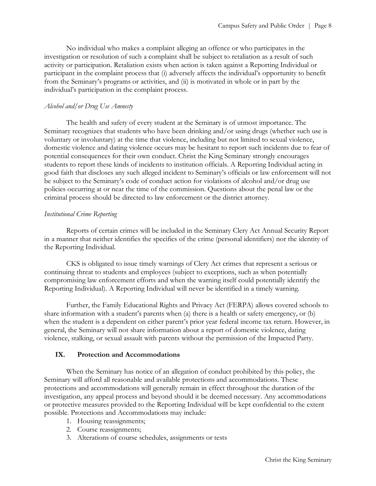No individual who makes a complaint alleging an offence or who participates in the investigation or resolution of such a complaint shall be subject to retaliation as a result of such activity or participation. Retaliation exists when action is taken against a Reporting Individual or participant in the complaint process that (i) adversely affects the individual's opportunity to benefit from the Seminary's programs or activities, and (ii) is motivated in whole or in part by the individual's participation in the complaint process.

## *Alcohol and/or Drug Use Amnesty*

The health and safety of every student at the Seminary is of utmost importance. The Seminary recognizes that students who have been drinking and/or using drugs (whether such use is voluntary or involuntary) at the time that violence, including but not limited to sexual violence, domestic violence and dating violence occurs may be hesitant to report such incidents due to fear of potential consequences for their own conduct. Christ the King Seminary strongly encourages students to report these kinds of incidents to institution officials. A Reporting Individual acting in good faith that discloses any such alleged incident to Seminary's officials or law enforcement will not be subject to the Seminary's code of conduct action for violations of alcohol and/or drug use policies occurring at or near the time of the commission. Questions about the penal law or the criminal process should be directed to law enforcement or the district attorney.

# *Institutional Crime Reporting*

Reports of certain crimes will be included in the Seminary Clery Act Annual Security Report in a manner that neither identifies the specifics of the crime (personal identifiers) nor the identity of the Reporting Individual.

CKS is obligated to issue timely warnings of Clery Act crimes that represent a serious or continuing threat to students and employees (subject to exceptions, such as when potentially compromising law enforcement efforts and when the warning itself could potentially identify the Reporting Individual). A Reporting Individual will never be identified in a timely warning.

Further, the Family Educational Rights and Privacy Act (FERPA) allows covered schools to share information with a student's parents when (a) there is a health or safety emergency, or (b) when the student is a dependent on either parent's prior year federal income tax return. However, in general, the Seminary will not share information about a report of domestic violence, dating violence, stalking, or sexual assault with parents without the permission of the Impacted Party.

# **IX. Protection and Accommodations**

When the Seminary has notice of an allegation of conduct prohibited by this policy, the Seminary will afford all reasonable and available protections and accommodations. These protections and accommodations will generally remain in effect throughout the duration of the investigation, any appeal process and beyond should it be deemed necessary. Any accommodations or protective measures provided to the Reporting Individual will be kept confidential to the extent possible. Protections and Accommodations may include:

- 1. Housing reassignments;
- 2. Course reassignments;
- 3. Alterations of course schedules, assignments or tests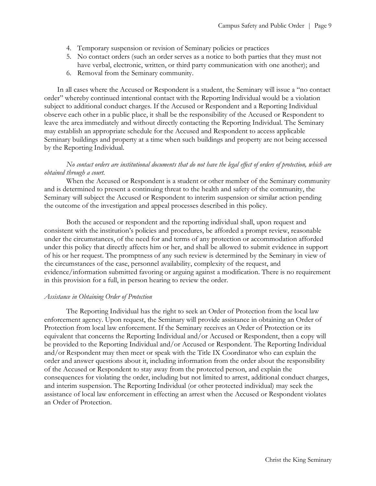- 4. Temporary suspension or revision of Seminary policies or practices
- 5. No contact orders (such an order serves as a notice to both parties that they must not have verbal, electronic, written, or third party communication with one another); and
- 6. Removal from the Seminary community.

In all cases where the Accused or Respondent is a student, the Seminary will issue a "no contact order" whereby continued intentional contact with the Reporting Individual would be a violation subject to additional conduct charges. If the Accused or Respondent and a Reporting Individual observe each other in a public place, it shall be the responsibility of the Accused or Respondent to leave the area immediately and without directly contacting the Reporting Individual. The Seminary may establish an appropriate schedule for the Accused and Respondent to access applicable Seminary buildings and property at a time when such buildings and property are not being accessed by the Reporting Individual.

## *No contact orders are institutional documents that do not have the legal effect of orders of protection, which are obtained through a court.*

When the Accused or Respondent is a student or other member of the Seminary community and is determined to present a continuing threat to the health and safety of the community, the Seminary will subject the Accused or Respondent to interim suspension or similar action pending the outcome of the investigation and appeal processes described in this policy.

Both the accused or respondent and the reporting individual shall, upon request and consistent with the institution's policies and procedures, be afforded a prompt review, reasonable under the circumstances, of the need for and terms of any protection or accommodation afforded under this policy that directly affects him or her, and shall be allowed to submit evidence in support of his or her request. The promptness of any such review is determined by the Seminary in view of the circumstances of the case, personnel availability, complexity of the request, and evidence/information submitted favoring or arguing against a modification. There is no requirement in this provision for a full, in person hearing to review the order.

## *Assistance in Obtaining Order of Protection*

The Reporting Individual has the right to seek an Order of Protection from the local law enforcement agency. Upon request, the Seminary will provide assistance in obtaining an Order of Protection from local law enforcement. If the Seminary receives an Order of Protection or its equivalent that concerns the Reporting Individual and/or Accused or Respondent, then a copy will be provided to the Reporting Individual and/or Accused or Respondent. The Reporting Individual and/or Respondent may then meet or speak with the Title IX Coordinator who can explain the order and answer questions about it, including information from the order about the responsibility of the Accused or Respondent to stay away from the protected person, and explain the consequences for violating the order, including but not limited to arrest, additional conduct charges, and interim suspension. The Reporting Individual (or other protected individual) may seek the assistance of local law enforcement in effecting an arrest when the Accused or Respondent violates an Order of Protection.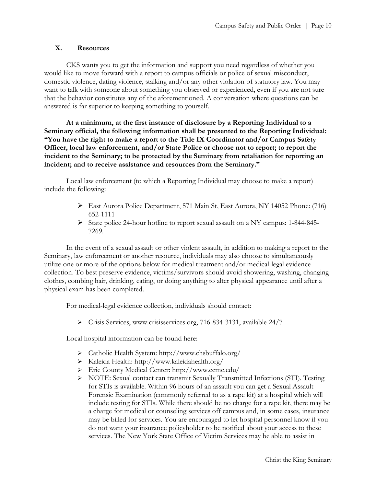# **X. Resources**

CKS wants you to get the information and support you need regardless of whether you would like to move forward with a report to campus officials or police of sexual misconduct, domestic violence, dating violence, stalking and/or any other violation of statutory law. You may want to talk with someone about something you observed or experienced, even if you are not sure that the behavior constitutes any of the aforementioned. A conversation where questions can be answered is far superior to keeping something to yourself.

**At a minimum, at the first instance of disclosure by a Reporting Individual to a Seminary official, the following information shall be presented to the Reporting Individual: "You have the right to make a report to the Title IX Coordinator and/or Campus Safety Officer, local law enforcement, and/or State Police or choose not to report; to report the incident to the Seminary; to be protected by the Seminary from retaliation for reporting an incident; and to receive assistance and resources from the Seminary."**

Local law enforcement (to which a Reporting Individual may choose to make a report) include the following:

- East Aurora Police Department, 571 Main St, East Aurora, NY 14052 Phone: (716) 652-1111
- State police 24-hour hotline to report sexual assault on a NY campus: 1-844-845-7269.

In the event of a sexual assault or other violent assault, in addition to making a report to the Seminary, law enforcement or another resource, individuals may also choose to simultaneously utilize one or more of the options below for medical treatment and/or medical-legal evidence collection. To best preserve evidence, victims/survivors should avoid showering, washing, changing clothes, combing hair, drinking, eating, or doing anything to alter physical appearance until after a physical exam has been completed.

For medical-legal evidence collection, individuals should contact:

Crisis Services, www.crisisservices.org, 716-834-3131, available 24/7

Local hospital information can be found here:

- Catholic Health System: http://www.chsbuffalo.org/
- Kaleida Health: http://www.kaleidahealth.org/
- Erie County Medical Center: http://www.ecmc.edu/
- NOTE: Sexual contact can transmit Sexually Transmitted Infections (STI). Testing for STIs is available. Within 96 hours of an assault you can get a Sexual Assault Forensic Examination (commonly referred to as a rape kit) at a hospital which will include testing for STIs. While there should be no charge for a rape kit, there may be a charge for medical or counseling services off campus and, in some cases, insurance may be billed for services. You are encouraged to let hospital personnel know if you do not want your insurance policyholder to be notified about your access to these services. The New York State Office of Victim Services may be able to assist in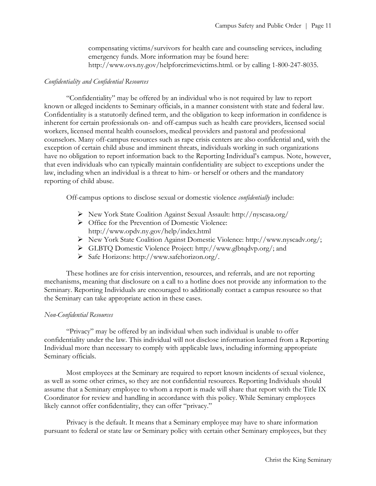compensating victims/survivors for health care and counseling services, including emergency funds. More information may be found here: http://www.ovs.ny.gov/helpforcrimevictims.html. or by calling 1-800-247-8035.

## *Confidentiality and Confidential Resources*

"Confidentiality" may be offered by an individual who is not required by law to report known or alleged incidents to Seminary officials, in a manner consistent with state and federal law. Confidentiality is a statutorily defined term, and the obligation to keep information in confidence is inherent for certain professionals on- and off-campus such as health care providers, licensed social workers, licensed mental health counselors, medical providers and pastoral and professional counselors. Many off-campus resources such as rape crisis centers are also confidential and, with the exception of certain child abuse and imminent threats, individuals working in such organizations have no obligation to report information back to the Reporting Individual's campus. Note, however, that even individuals who can typically maintain confidentiality are subject to exceptions under the law, including when an individual is a threat to him- or herself or others and the mandatory reporting of child abuse.

Off-campus options to disclose sexual or domestic violence *confidentially* include:

- New York State Coalition Against Sexual Assault: http://nyscasa.org/
- $\triangleright$  Office for the Prevention of Domestic Violence: http://www.opdv.ny.gov/help/index.html
- New York State Coalition Against Domestic Violence: http://www.nyscadv.org/;
- GLBTQ Domestic Violence Project: http://www.glbtqdvp.org/; and
- $\triangleright$  Safe Horizons: http://www.safehorizon.org/.

These hotlines are for crisis intervention, resources, and referrals, and are not reporting mechanisms, meaning that disclosure on a call to a hotline does not provide any information to the Seminary. Reporting Individuals are encouraged to additionally contact a campus resource so that the Seminary can take appropriate action in these cases.

#### *Non-Confidential Resources*

"Privacy" may be offered by an individual when such individual is unable to offer confidentiality under the law. This individual will not disclose information learned from a Reporting Individual more than necessary to comply with applicable laws, including informing appropriate Seminary officials.

Most employees at the Seminary are required to report known incidents of sexual violence, as well as some other crimes, so they are not confidential resources. Reporting Individuals should assume that a Seminary employee to whom a report is made will share that report with the Title IX Coordinator for review and handling in accordance with this policy. While Seminary employees likely cannot offer confidentiality, they can offer "privacy."

Privacy is the default. It means that a Seminary employee may have to share information pursuant to federal or state law or Seminary policy with certain other Seminary employees, but they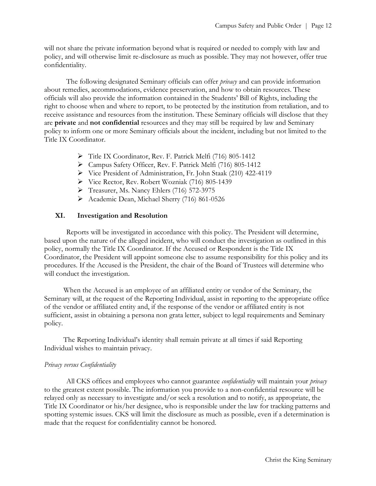will not share the private information beyond what is required or needed to comply with law and policy, and will otherwise limit re-disclosure as much as possible. They may not however, offer true confidentiality.

The following designated Seminary officials can offer *privacy* and can provide information about remedies, accommodations, evidence preservation, and how to obtain resources. These officials will also provide the information contained in the Students' Bill of Rights, including the right to choose when and where to report, to be protected by the institution from retaliation, and to receive assistance and resources from the institution. These Seminary officials will disclose that they are **private** and **not confidential** resources and they may still be required by law and Seminary policy to inform one or more Seminary officials about the incident, including but not limited to the Title IX Coordinator.

- Title IX Coordinator, Rev. F. Patrick Melfi (716) 805-1412
- Campus Safety Officer, Rev. F. Patrick Melfi (716) 805-1412
- Vice President of Administration, Fr. John Staak (210) 422-4119
- Vice Rector, Rev. Robert Wozniak (716) 805-1439
- Freasurer, Ms. Nancy Ehlers (716) 572-3975
- Academic Dean, Michael Sherry (716) 861-0526

## **XI. Investigation and Resolution**

Reports will be investigated in accordance with this policy. The President will determine, based upon the nature of the alleged incident, who will conduct the investigation as outlined in this policy, normally the Title IX Coordinator. If the Accused or Respondent is the Title IX Coordinator, the President will appoint someone else to assume responsibility for this policy and its procedures. If the Accused is the President, the chair of the Board of Trustees will determine who will conduct the investigation.

When the Accused is an employee of an affiliated entity or vendor of the Seminary, the Seminary will, at the request of the Reporting Individual, assist in reporting to the appropriate office of the vendor or affiliated entity and, if the response of the vendor or affiliated entity is not sufficient, assist in obtaining a persona non grata letter, subject to legal requirements and Seminary policy.

The Reporting Individual's identity shall remain private at all times if said Reporting Individual wishes to maintain privacy.

## *Privacy versus Confidentiality*

All CKS offices and employees who cannot guarantee *confidentiality* will maintain your *privacy*  to the greatest extent possible. The information you provide to a non-confidential resource will be relayed only as necessary to investigate and/or seek a resolution and to notify, as appropriate, the Title IX Coordinator or his/her designee, who is responsible under the law for tracking patterns and spotting systemic issues. CKS will limit the disclosure as much as possible, even if a determination is made that the request for confidentiality cannot be honored.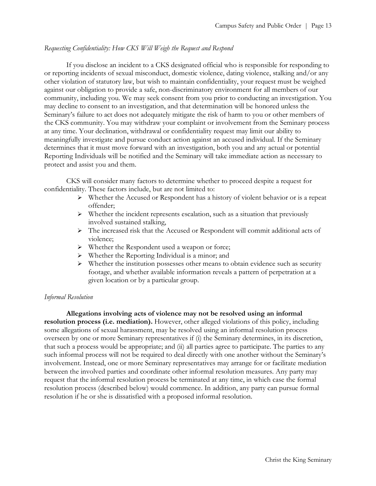### *Requesting Confidentiality: How CKS Will Weigh the Request and Respond*

If you disclose an incident to a CKS designated official who is responsible for responding to or reporting incidents of sexual misconduct, domestic violence, dating violence, stalking and/or any other violation of statutory law, but wish to maintain confidentiality, your request must be weighed against our obligation to provide a safe, non-discriminatory environment for all members of our community, including you. We may seek consent from you prior to conducting an investigation. You may decline to consent to an investigation, and that determination will be honored unless the Seminary's failure to act does not adequately mitigate the risk of harm to you or other members of the CKS community. You may withdraw your complaint or involvement from the Seminary process at any time. Your declination, withdrawal or confidentiality request may limit our ability to meaningfully investigate and pursue conduct action against an accused individual. If the Seminary determines that it must move forward with an investigation, both you and any actual or potential Reporting Individuals will be notified and the Seminary will take immediate action as necessary to protect and assist you and them.

CKS will consider many factors to determine whether to proceed despite a request for confidentiality. These factors include, but are not limited to:

- $\triangleright$  Whether the Accused or Respondent has a history of violent behavior or is a repeat offender;
- $\triangleright$  Whether the incident represents escalation, such as a situation that previously involved sustained stalking,
- The increased risk that the Accused or Respondent will commit additional acts of violence;
- Whether the Respondent used a weapon or force;
- Whether the Reporting Individual is a minor; and
- $\triangleright$  Whether the institution possesses other means to obtain evidence such as security footage, and whether available information reveals a pattern of perpetration at a given location or by a particular group.

#### *Informal Resolution*

**Allegations involving acts of violence may not be resolved using an informal resolution process (i.e. mediation).** However, other alleged violations of this policy, including some allegations of sexual harassment, may be resolved using an informal resolution process overseen by one or more Seminary representatives if (i) the Seminary determines, in its discretion, that such a process would be appropriate; and (ii) all parties agree to participate. The parties to any such informal process will not be required to deal directly with one another without the Seminary's involvement. Instead, one or more Seminary representatives may arrange for or facilitate mediation between the involved parties and coordinate other informal resolution measures. Any party may request that the informal resolution process be terminated at any time, in which case the formal resolution process (described below) would commence. In addition, any party can pursue formal resolution if he or she is dissatisfied with a proposed informal resolution.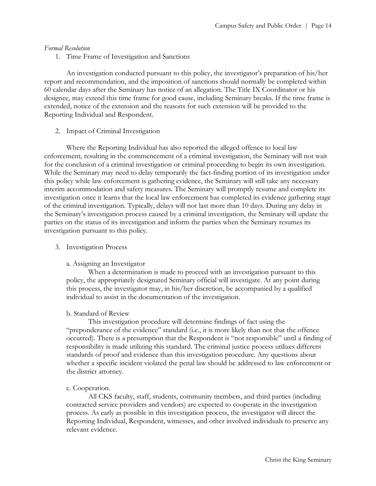## *Formal Resolution*

1. Time Frame of Investigation and Sanctions

An investigation conducted pursuant to this policy, the investigator's preparation of his/her report and recommendation, and the imposition of sanctions should normally be completed within 60 calendar days after the Seminary has notice of an allegation. The Title IX Coordinator or his designee, may extend this time frame for good cause, including Seminary breaks. If the time frame is extended, notice of the extension and the reasons for such extension will be provided to the Reporting Individual and Respondent.

## 2. Impact of Criminal Investigation

Where the Reporting Individual has also reported the alleged offence to local law enforcement, resulting in the commencement of a criminal investigation, the Seminary will not wait for the conclusion of a criminal investigation or criminal proceeding to begin its own investigation. While the Seminary may need to delay temporarily the fact-finding portion of its investigation under this policy while law enforcement is gathering evidence, the Seminary will still take any necessary interim accommodation and safety measures. The Seminary will promptly resume and complete its investigation once it learns that the local law enforcement has completed its evidence gathering stage of the criminal investigation. Typically, delays will not last more than 10 days. During any delay in the Seminary's investigation process caused by a criminal investigation, the Seminary will update the parties on the status of its investigation and inform the parties when the Seminary resumes its investigation pursuant to this policy.

## 3. Investigation Process

## a. Assigning an Investigator

When a determination is made to proceed with an investigation pursuant to this policy, the appropriately designated Seminary official will investigate. At any point during this process, the investigator may, in his/her discretion, be accompanied by a qualified individual to assist in the documentation of the investigation.

## b. Standard of Review

This investigation procedure will determine findings of fact using the "preponderance of the evidence" standard (i.e., it is more likely than not that the offence occurred). There is a presumption that the Respondent is "not responsible" until a finding of responsibility is made utilizing this standard. The criminal justice process utilizes different standards of proof and evidence than this investigation procedure. Any questions about whether a specific incident violated the penal law should be addressed to law enforcement or the district attorney.

## c. Cooperation.

All CKS faculty, staff, students, community members, and third parties (including contracted service providers and vendors) are expected to cooperate in the investigation process. As early as possible in this investigation process, the investigator will direct the Reporting Individual, Respondent, witnesses, and other involved individuals to preserve any relevant evidence.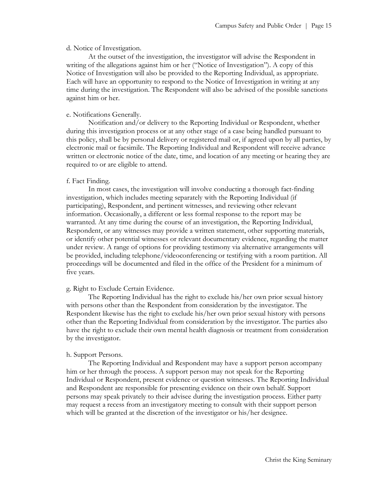#### d. Notice of Investigation.

At the outset of the investigation, the investigator will advise the Respondent in writing of the allegations against him or her ("Notice of Investigation"). A copy of this Notice of Investigation will also be provided to the Reporting Individual, as appropriate. Each will have an opportunity to respond to the Notice of Investigation in writing at any time during the investigation. The Respondent will also be advised of the possible sanctions against him or her.

#### e. Notifications Generally.

Notification and/or delivery to the Reporting Individual or Respondent, whether during this investigation process or at any other stage of a case being handled pursuant to this policy, shall be by personal delivery or registered mail or, if agreed upon by all parties, by electronic mail or facsimile. The Reporting Individual and Respondent will receive advance written or electronic notice of the date, time, and location of any meeting or hearing they are required to or are eligible to attend.

## f. Fact Finding.

In most cases, the investigation will involve conducting a thorough fact-finding investigation, which includes meeting separately with the Reporting Individual (if participating), Respondent, and pertinent witnesses, and reviewing other relevant information. Occasionally, a different or less formal response to the report may be warranted. At any time during the course of an investigation, the Reporting Individual, Respondent, or any witnesses may provide a written statement, other supporting materials, or identify other potential witnesses or relevant documentary evidence, regarding the matter under review. A range of options for providing testimony via alternative arrangements will be provided, including telephone/videoconferencing or testifying with a room partition. All proceedings will be documented and filed in the office of the President for a minimum of five years.

## g. Right to Exclude Certain Evidence.

The Reporting Individual has the right to exclude his/her own prior sexual history with persons other than the Respondent from consideration by the investigator. The Respondent likewise has the right to exclude his/her own prior sexual history with persons other than the Reporting Individual from consideration by the investigator. The parties also have the right to exclude their own mental health diagnosis or treatment from consideration by the investigator.

#### h. Support Persons.

The Reporting Individual and Respondent may have a support person accompany him or her through the process. A support person may not speak for the Reporting Individual or Respondent, present evidence or question witnesses. The Reporting Individual and Respondent are responsible for presenting evidence on their own behalf. Support persons may speak privately to their advisee during the investigation process. Either party may request a recess from an investigatory meeting to consult with their support person which will be granted at the discretion of the investigator or his/her designee.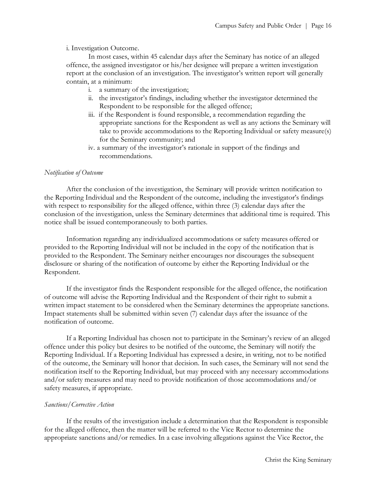i. Investigation Outcome.

In most cases, within 45 calendar days after the Seminary has notice of an alleged offence, the assigned investigator or his/her designee will prepare a written investigation report at the conclusion of an investigation. The investigator's written report will generally contain, at a minimum:

- i. a summary of the investigation;
- ii. the investigator's findings, including whether the investigator determined the Respondent to be responsible for the alleged offence;
- iii. if the Respondent is found responsible, a recommendation regarding the appropriate sanctions for the Respondent as well as any actions the Seminary will take to provide accommodations to the Reporting Individual or safety measure(s) for the Seminary community; and
- iv. a summary of the investigator's rationale in support of the findings and recommendations.

## *Notification of Outcome*

After the conclusion of the investigation, the Seminary will provide written notification to the Reporting Individual and the Respondent of the outcome, including the investigator's findings with respect to responsibility for the alleged offence, within three (3) calendar days after the conclusion of the investigation, unless the Seminary determines that additional time is required. This notice shall be issued contemporaneously to both parties.

Information regarding any individualized accommodations or safety measures offered or provided to the Reporting Individual will not be included in the copy of the notification that is provided to the Respondent. The Seminary neither encourages nor discourages the subsequent disclosure or sharing of the notification of outcome by either the Reporting Individual or the Respondent.

If the investigator finds the Respondent responsible for the alleged offence, the notification of outcome will advise the Reporting Individual and the Respondent of their right to submit a written impact statement to be considered when the Seminary determines the appropriate sanctions. Impact statements shall be submitted within seven (7) calendar days after the issuance of the notification of outcome.

If a Reporting Individual has chosen not to participate in the Seminary's review of an alleged offence under this policy but desires to be notified of the outcome, the Seminary will notify the Reporting Individual. If a Reporting Individual has expressed a desire, in writing, not to be notified of the outcome, the Seminary will honor that decision. In such cases, the Seminary will not send the notification itself to the Reporting Individual, but may proceed with any necessary accommodations and/or safety measures and may need to provide notification of those accommodations and/or safety measures, if appropriate.

## *Sanctions/Corrective Action*

If the results of the investigation include a determination that the Respondent is responsible for the alleged offence, then the matter will be referred to the Vice Rector to determine the appropriate sanctions and/or remedies. In a case involving allegations against the Vice Rector, the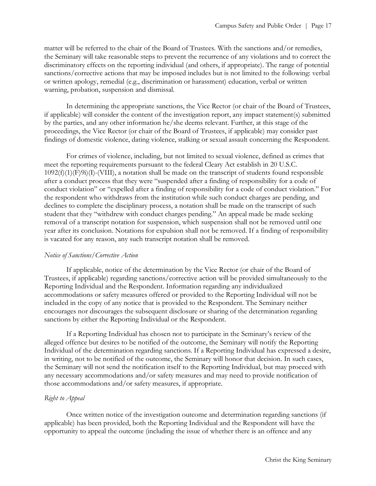matter will be referred to the chair of the Board of Trustees. With the sanctions and/or remedies, the Seminary will take reasonable steps to prevent the recurrence of any violations and to correct the discriminatory effects on the reporting individual (and others, if appropriate). The range of potential sanctions/corrective actions that may be imposed includes but is not limited to the following: verbal or written apology, remedial (e.g., discrimination or harassment) education, verbal or written warning, probation, suspension and dismissal.

In determining the appropriate sanctions, the Vice Rector (or chair of the Board of Trustees, if applicable) will consider the content of the investigation report, any impact statement(s) submitted by the parties, and any other information he/she deems relevant. Further, at this stage of the proceedings, the Vice Rector (or chair of the Board of Trustees, if applicable) may consider past findings of domestic violence, dating violence, stalking or sexual assault concerning the Respondent.

For crimes of violence, including, but not limited to sexual violence, defined as crimes that meet the reporting requirements pursuant to the federal Cleary Act establish in 20 U.S.C.  $1092(f)(1)(F)9i)(I)-(VIII)$ , a notation shall be made on the transcript of students found responsible after a conduct process that they were "suspended after a finding of responsibility for a code of conduct violation" or "expelled after a finding of responsibility for a code of conduct violation." For the respondent who withdraws from the institution while such conduct charges are pending, and declines to complete the disciplinary process, a notation shall be made on the transcript of such student that they "withdrew with conduct charges pending." An appeal made be made seeking removal of a transcript notation for suspension, which suspension shall not be removed until one year after its conclusion. Notations for expulsion shall not be removed. If a finding of responsibility is vacated for any reason, any such transcript notation shall be removed.

#### *Notice of Sanctions/Corrective Action*

If applicable, notice of the determination by the Vice Rector (or chair of the Board of Trustees, if applicable) regarding sanctions/corrective action will be provided simultaneously to the Reporting Individual and the Respondent. Information regarding any individualized accommodations or safety measures offered or provided to the Reporting Individual will not be included in the copy of any notice that is provided to the Respondent. The Seminary neither encourages nor discourages the subsequent disclosure or sharing of the determination regarding sanctions by either the Reporting Individual or the Respondent.

If a Reporting Individual has chosen not to participate in the Seminary's review of the alleged offence but desires to be notified of the outcome, the Seminary will notify the Reporting Individual of the determination regarding sanctions. If a Reporting Individual has expressed a desire, in writing, not to be notified of the outcome, the Seminary will honor that decision. In such cases, the Seminary will not send the notification itself to the Reporting Individual, but may proceed with any necessary accommodations and/or safety measures and may need to provide notification of those accommodations and/or safety measures, if appropriate.

#### *Right to Appeal*

Once written notice of the investigation outcome and determination regarding sanctions (if applicable) has been provided, both the Reporting Individual and the Respondent will have the opportunity to appeal the outcome (including the issue of whether there is an offence and any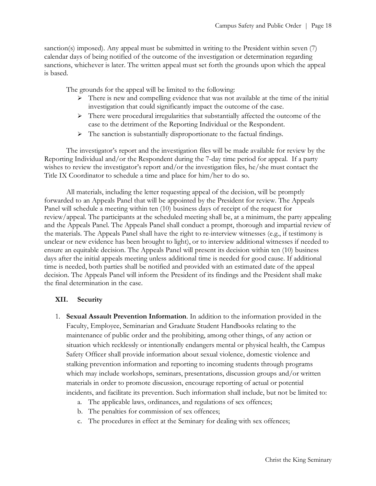sanction(s) imposed). Any appeal must be submitted in writing to the President within seven (7) calendar days of being notified of the outcome of the investigation or determination regarding sanctions, whichever is later. The written appeal must set forth the grounds upon which the appeal is based.

The grounds for the appeal will be limited to the following:

- $\triangleright$  There is new and compelling evidence that was not available at the time of the initial investigation that could significantly impact the outcome of the case.
- $\triangleright$  There were procedural irregularities that substantially affected the outcome of the case to the detriment of the Reporting Individual or the Respondent.
- $\triangleright$  The sanction is substantially disproportionate to the factual findings.

The investigator's report and the investigation files will be made available for review by the Reporting Individual and/or the Respondent during the 7-day time period for appeal. If a party wishes to review the investigator's report and/or the investigation files, he/she must contact the Title IX Coordinator to schedule a time and place for him/her to do so.

All materials, including the letter requesting appeal of the decision, will be promptly forwarded to an Appeals Panel that will be appointed by the President for review. The Appeals Panel will schedule a meeting within ten (10) business days of receipt of the request for review/appeal. The participants at the scheduled meeting shall be, at a minimum, the party appealing and the Appeals Panel. The Appeals Panel shall conduct a prompt, thorough and impartial review of the materials. The Appeals Panel shall have the right to re-interview witnesses (e.g., if testimony is unclear or new evidence has been brought to light), or to interview additional witnesses if needed to ensure an equitable decision. The Appeals Panel will present its decision within ten (10) business days after the initial appeals meeting unless additional time is needed for good cause. If additional time is needed, both parties shall be notified and provided with an estimated date of the appeal decision. The Appeals Panel will inform the President of its findings and the President shall make the final determination in the case.

## **XII. Security**

- 1. **Sexual Assault Prevention Information**. In addition to the information provided in the Faculty, Employee, Seminarian and Graduate Student Handbooks relating to the maintenance of public order and the prohibiting, among other things, of any action or situation which recklessly or intentionally endangers mental or physical health, the Campus Safety Officer shall provide information about sexual violence, domestic violence and stalking prevention information and reporting to incoming students through programs which may include workshops, seminars, presentations, discussion groups and/or written materials in order to promote discussion, encourage reporting of actual or potential incidents, and facilitate its prevention. Such information shall include, but not be limited to:
	- a. The applicable laws, ordinances, and regulations of sex offences;
	- b. The penalties for commission of sex offences;
	- c. The procedures in effect at the Seminary for dealing with sex offences;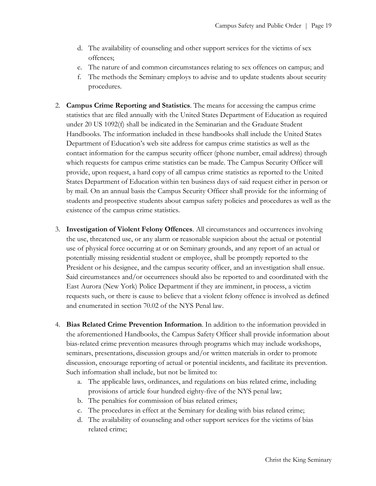- d. The availability of counseling and other support services for the victims of sex offences;
- e. The nature of and common circumstances relating to sex offences on campus; and
- f. The methods the Seminary employs to advise and to update students about security procedures.
- 2. **Campus Crime Reporting and Statistics**. The means for accessing the campus crime statistics that are filed annually with the United States Department of Education as required under 20 US 1092(f) shall be indicated in the Seminarian and the Graduate Student Handbooks. The information included in these handbooks shall include the United States Department of Education's web site address for campus crime statistics as well as the contact information for the campus security officer (phone number, email address) through which requests for campus crime statistics can be made. The Campus Security Officer will provide, upon request, a hard copy of all campus crime statistics as reported to the United States Department of Education within ten business days of said request either in person or by mail. On an annual basis the Campus Security Officer shall provide for the informing of students and prospective students about campus safety policies and procedures as well as the existence of the campus crime statistics.
- 3. **Investigation of Violent Felony Offences**. All circumstances and occurrences involving the use, threatened use, or any alarm or reasonable suspicion about the actual or potential use of physical force occurring at or on Seminary grounds, and any report of an actual or potentially missing residential student or employee, shall be promptly reported to the President or his designee, and the campus security officer, and an investigation shall ensue. Said circumstances and/or occurrences should also be reported to and coordinated with the East Aurora (New York) Police Department if they are imminent, in process, a victim requests such, or there is cause to believe that a violent felony offence is involved as defined and enumerated in section 70.02 of the NYS Penal law.
- 4. **Bias Related Crime Prevention Information**. In addition to the information provided in the aforementioned Handbooks, the Campus Safety Officer shall provide information about bias-related crime prevention measures through programs which may include workshops, seminars, presentations, discussion groups and/or written materials in order to promote discussion, encourage reporting of actual or potential incidents, and facilitate its prevention. Such information shall include, but not be limited to:
	- a. The applicable laws, ordinances, and regulations on bias related crime, including provisions of article four hundred eighty-five of the NYS penal law;
	- b. The penalties for commission of bias related crimes;
	- c. The procedures in effect at the Seminary for dealing with bias related crime;
	- d. The availability of counseling and other support services for the victims of bias related crime;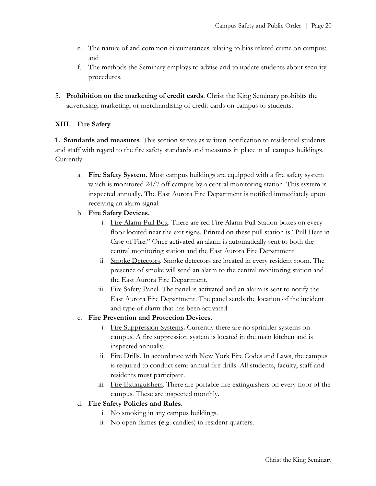- e. The nature of and common circumstances relating to bias related crime on campus; and
- f. The methods the Seminary employs to advise and to update students about security procedures.
- 5. **Prohibition on the marketing of credit cards**. Christ the King Seminary prohibits the advertising, marketing, or merchandising of credit cards on campus to students.

# **XIII. Fire Safety**

**1. Standards and measures**. This section serves as written notification to residential students and staff with regard to the fire safety standards and measures in place in all campus buildings. Currently:

- a. **Fire Safety System.** Most campus buildings are equipped with a fire safety system which is monitored 24/7 off campus by a central monitoring station. This system is inspected annually. The East Aurora Fire Department is notified immediately upon receiving an alarm signal.
- b. **Fire Safety Devices.**
	- i. Fire Alarm Pull Box. There are red Fire Alarm Pull Station boxes on every floor located near the exit signs. Printed on these pull station is "Pull Here in Case of Fire." Once activated an alarm is automatically sent to both the central monitoring station and the East Aurora Fire Department.
	- ii. Smoke Detectors. Smoke detectors are located in every resident room. The presence of smoke will send an alarm to the central monitoring station and the East Aurora Fire Department.
	- iii. Fire Safety Panel. The panel is activated and an alarm is sent to notify the East Aurora Fire Department. The panel sends the location of the incident and type of alarm that has been activated.
- c. **Fire Prevention and Protection Devices**.
	- i. Fire Suppression Systems**.** Currently there are no sprinkler systems on campus. A fire suppression system is located in the main kitchen and is inspected annually.
	- ii. Fire Drills. In accordance with New York Fire Codes and Laws, the campus is required to conduct semi-annual fire drills. All students, faculty, staff and residents must participate.
	- iii. Fire Extinguishers. There are portable fire extinguishers on every floor of the campus. These are inspected monthly.
- d. **Fire Safety Policies and Rules**.
	- i. No smoking in any campus buildings.
	- ii. No open flames **(e**.g. candles) in resident quarters.